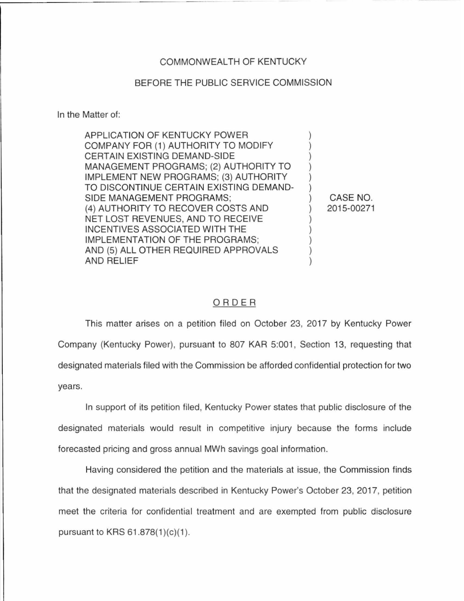## COMMONWEALTH OF KENTUCKY

## BEFORE THE PUBLIC SERVICE COMMISSION

In the Matter of:

| APPLICATION OF KENTUCKY POWER           |  |
|-----------------------------------------|--|
| COMPANY FOR (1) AUTHORITY TO MODIFY     |  |
| CERTAIN EXISTING DEMAND-SIDE            |  |
| MANAGEMENT PROGRAMS; (2) AUTHORITY TO   |  |
| IMPLEMENT NEW PROGRAMS; (3) AUTHORITY   |  |
| TO DISCONTINUE CERTAIN EXISTING DEMAND- |  |
| SIDE MANAGEMENT PROGRAMS;               |  |
| (4) AUTHORITY TO RECOVER COSTS AND      |  |
| NET LOST REVENUES, AND TO RECEIVE       |  |
| INCENTIVES ASSOCIATED WITH THE          |  |
| IMPLEMENTATION OF THE PROGRAMS;         |  |
| AND (5) ALL OTHER REQUIRED APPROVALS    |  |
| AND RELIEF                              |  |

CASE NO. 2015-00271

## ORDER

This matter arises on a petition filed on October 23, 2017 by Kentucky Power Company (Kentucky Power), pursuant to 807 KAR 5:001, Section 13, requesting that designated materials filed with the Commission be afforded confidential protection for two years.

In support of its petition filed, Kentucky Power states that public disclosure of the designated materials would result in competitive injury because the forms include forecasted pricing and gross annual MWh savings goal information.

Having considered the petition and the materials at issue, the Commission finds that the designated materials described in Kentucky Power's October 23, 2017, petition meet the criteria for confidential treatment and are exempted from public disclosure pursuant to KRS  $61.878(1)(c)(1)$ .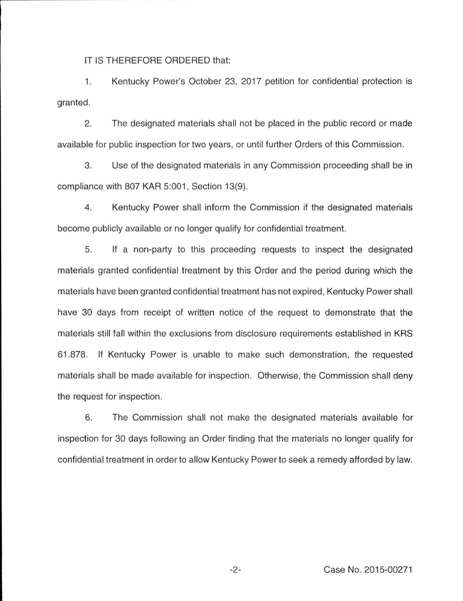IT IS THEREFORE ORDERED that:

1. Kentucky Power's October 23, 2017 petition for confidential protection is granted.

2. The designated materials shall not be placed in the public record or made available for public inspection for two years, or until further Orders of this Commission.

3. Use of the designated materials in any Commission proceeding shall be in compliance with 807 KAR 5:001, Section 13(9).

4. Kentucky Power shall inform the Commission if the designated materials become publicly available or no longer qualify for confidential treatment.

5. If a non-party to this proceeding requests to inspect the designated materials granted confidential treatment by this Order and the period during which the materials have been granted confidential treatment has not expired, Kentucky Power shall have 30 days from receipt of written notice of the request to demonstrate that the materials still fall within the exclusions from disclosure requirements established in KRS 61.878. If Kentucky Power is unable to make such demonstration, the requested materials shall be made available for inspection. Otherwise, the Commission shall deny the request for inspection.

6. The Commission shall not make the designated materials available for inspection for 30 days following an Order finding that the materials no longer qualify for confidential treatment in order to allow Kentucky Power to seek a remedy afforded by law.

-2- Case No. 2015-00271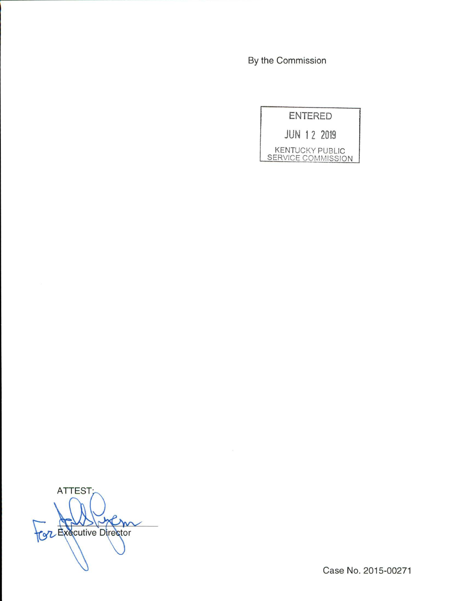By the Commission

ENTERED JUN 1 2 2019

KENTUCKY PUBLIC SERVICE COMMISSION

ATTEST; Cole Executive Director

Case No. 2015-00271